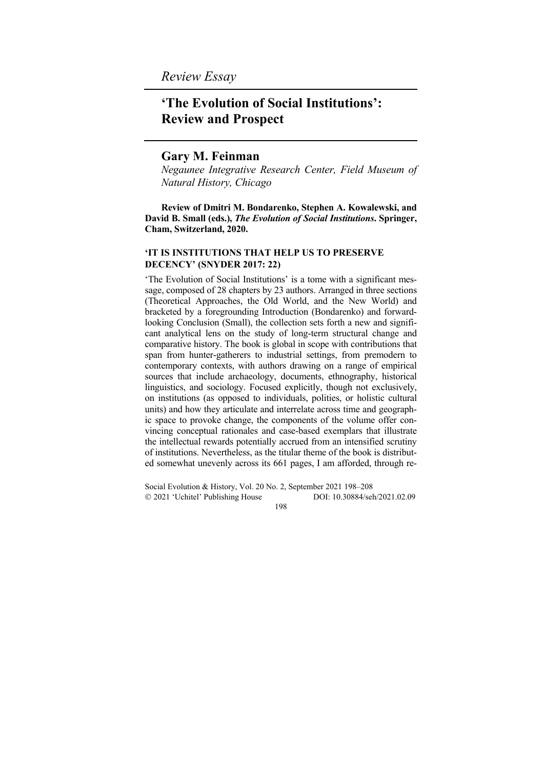*Review Essay* 

# **'The Evolution of Social Institutions': Review and Prospect**

## **Gary M. Feinman**

*Negaunee Integrative Research Center, Field Museum of Natural History, Chicago*

**Review of Dmitri M. Bondarenko, Stephen A. Kowalewski, and David B. Small (eds.),** *The Evolution of Social Institutions***. Springer, Cham, Switzerland, 2020.** 

#### **'IT IS INSTITUTIONS THAT HELP US TO PRESERVE DECENCY' (SNYDER 2017: 22)**

'The Evolution of Social Institutions' is a tome with a significant message, composed of 28 chapters by 23 authors. Arranged in three sections (Theoretical Approaches, the Old World, and the New World) and bracketed by a foregrounding Introduction (Bondarenko) and forwardlooking Conclusion (Small), the collection sets forth a new and significant analytical lens on the study of long-term structural change and comparative history. The book is global in scope with contributions that span from hunter-gatherers to industrial settings, from premodern to contemporary contexts, with authors drawing on a range of empirical sources that include archaeology, documents, ethnography, historical linguistics, and sociology. Focused explicitly, though not exclusively, on institutions (as opposed to individuals, polities, or holistic cultural units) and how they articulate and interrelate across time and geographic space to provoke change, the components of the volume offer convincing conceptual rationales and case-based exemplars that illustrate the intellectual rewards potentially accrued from an intensified scrutiny of institutions. Nevertheless, as the titular theme of the book is distributed somewhat unevenly across its 661 pages, I am afforded, through re-

Social Evolution & History, Vol. 20 No. 2, September 2021 198–208 2021 'Uchitel' Publishing House DOI: 10.30884/seh/2021.02.09 198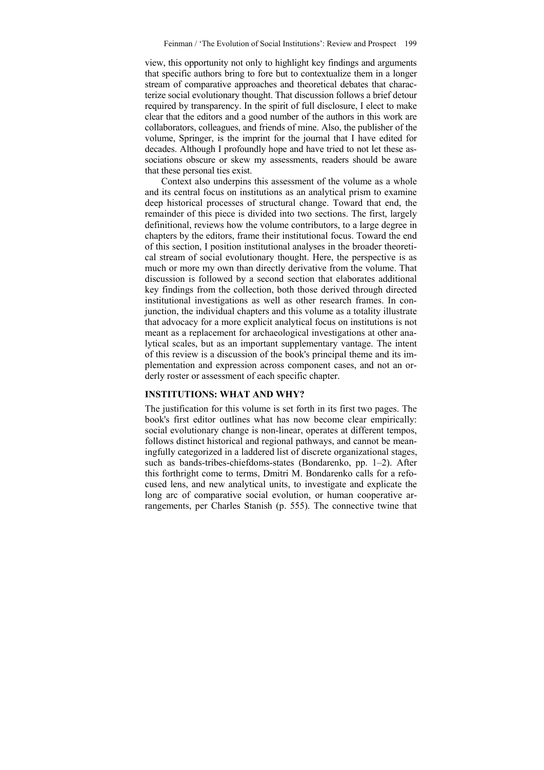view, this opportunity not only to highlight key findings and arguments that specific authors bring to fore but to contextualize them in a longer stream of comparative approaches and theoretical debates that characterize social evolutionary thought. That discussion follows a brief detour required by transparency. In the spirit of full disclosure, I elect to make clear that the editors and a good number of the authors in this work are collaborators, colleagues, and friends of mine. Also, the publisher of the volume, Springer, is the imprint for the journal that I have edited for decades. Although I profoundly hope and have tried to not let these associations obscure or skew my assessments, readers should be aware that these personal ties exist.

Context also underpins this assessment of the volume as a whole and its central focus on institutions as an analytical prism to examine deep historical processes of structural change. Toward that end, the remainder of this piece is divided into two sections. The first, largely definitional, reviews how the volume contributors, to a large degree in chapters by the editors, frame their institutional focus. Toward the end of this section, I position institutional analyses in the broader theoretical stream of social evolutionary thought. Here, the perspective is as much or more my own than directly derivative from the volume. That discussion is followed by a second section that elaborates additional key findings from the collection, both those derived through directed institutional investigations as well as other research frames. In conjunction, the individual chapters and this volume as a totality illustrate that advocacy for a more explicit analytical focus on institutions is not meant as a replacement for archaeological investigations at other analytical scales, but as an important supplementary vantage. The intent of this review is a discussion of the book's principal theme and its implementation and expression across component cases, and not an orderly roster or assessment of each specific chapter.

### **INSTITUTIONS: WHAT AND WHY?**

The justification for this volume is set forth in its first two pages. The book's first editor outlines what has now become clear empirically: social evolutionary change is non-linear, operates at different tempos, follows distinct historical and regional pathways, and cannot be meaningfully categorized in a laddered list of discrete organizational stages, such as bands-tribes-chiefdoms-states (Bondarenko, pp. 1–2). After this forthright come to terms, Dmitri M. Bondarenko calls for a refocused lens, and new analytical units, to investigate and explicate the long arc of comparative social evolution, or human cooperative arrangements, per Charles Stanish (p. 555). The connective twine that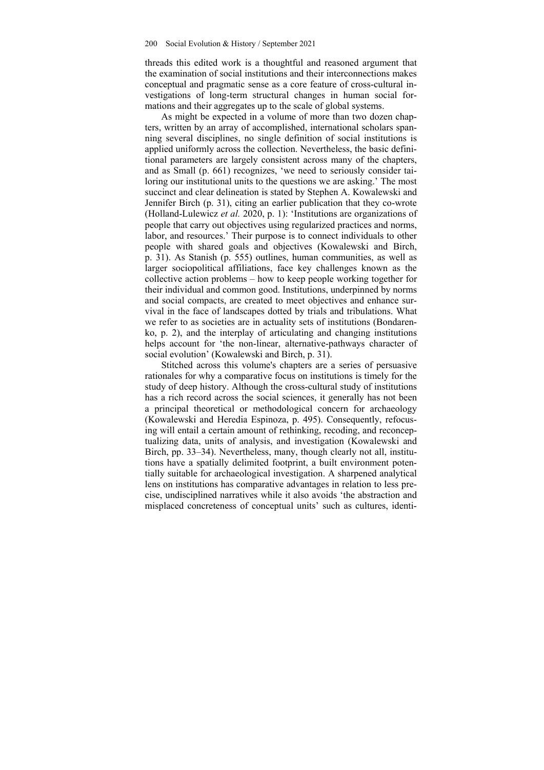threads this edited work is a thoughtful and reasoned argument that the examination of social institutions and their interconnections makes conceptual and pragmatic sense as a core feature of cross-cultural investigations of long-term structural changes in human social formations and their aggregates up to the scale of global systems.

As might be expected in a volume of more than two dozen chapters, written by an array of accomplished, international scholars spanning several disciplines, no single definition of social institutions is applied uniformly across the collection. Nevertheless, the basic definitional parameters are largely consistent across many of the chapters, and as Small (p. 661) recognizes, 'we need to seriously consider tailoring our institutional units to the questions we are asking.' The most succinct and clear delineation is stated by Stephen A. Kowalewski and Jennifer Birch (p. 31), citing an earlier publication that they co-wrote (Holland-Lulewicz *et al.* 2020, p. 1): 'Institutions are organizations of people that carry out objectives using regularized practices and norms, labor, and resources.' Their purpose is to connect individuals to other people with shared goals and objectives (Kowalewski and Birch, p. 31). As Stanish (p. 555) outlines, human communities, as well as larger sociopolitical affiliations, face key challenges known as the collective action problems – how to keep people working together for their individual and common good. Institutions, underpinned by norms and social compacts, are created to meet objectives and enhance survival in the face of landscapes dotted by trials and tribulations. What we refer to as societies are in actuality sets of institutions (Bondarenko, p. 2), and the interplay of articulating and changing institutions helps account for 'the non-linear, alternative-pathways character of social evolution' (Kowalewski and Birch, p. 31).

Stitched across this volume's chapters are a series of persuasive rationales for why a comparative focus on institutions is timely for the study of deep history. Although the cross-cultural study of institutions has a rich record across the social sciences, it generally has not been a principal theoretical or methodological concern for archaeology (Kowalewski and Heredia Espinoza, p. 495). Consequently, refocusing will entail a certain amount of rethinking, recoding, and reconceptualizing data, units of analysis, and investigation (Kowalewski and Birch, pp. 33–34). Nevertheless, many, though clearly not all, institutions have a spatially delimited footprint, a built environment potentially suitable for archaeological investigation. A sharpened analytical lens on institutions has comparative advantages in relation to less precise, undisciplined narratives while it also avoids 'the abstraction and misplaced concreteness of conceptual units' such as cultures, identi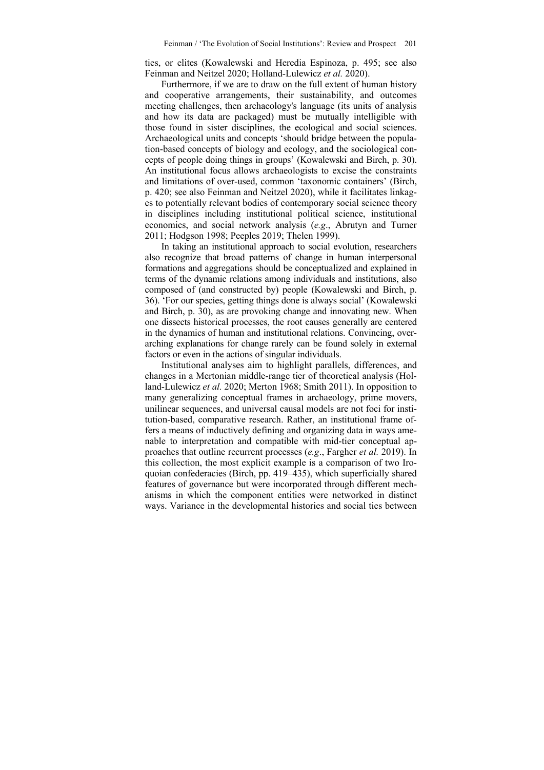ties, or elites (Kowalewski and Heredia Espinoza, p. 495; see also Feinman and Neitzel 2020; Holland-Lulewicz *et al.* 2020).

Furthermore, if we are to draw on the full extent of human history and cooperative arrangements, their sustainability, and outcomes meeting challenges, then archaeology's language (its units of analysis and how its data are packaged) must be mutually intelligible with those found in sister disciplines, the ecological and social sciences. Archaeological units and concepts 'should bridge between the population-based concepts of biology and ecology, and the sociological concepts of people doing things in groups' (Kowalewski and Birch, p. 30). An institutional focus allows archaeologists to excise the constraints and limitations of over-used, common 'taxonomic containers' (Birch, p. 420; see also Feinman and Neitzel 2020), while it facilitates linkages to potentially relevant bodies of contemporary social science theory in disciplines including institutional political science, institutional economics, and social network analysis (*e.g*., Abrutyn and Turner 2011; Hodgson 1998; Peeples 2019; Thelen 1999).

In taking an institutional approach to social evolution, researchers also recognize that broad patterns of change in human interpersonal formations and aggregations should be conceptualized and explained in terms of the dynamic relations among individuals and institutions, also composed of (and constructed by) people (Kowalewski and Birch, p. 36). 'For our species, getting things done is always social' (Kowalewski and Birch, p. 30), as are provoking change and innovating new. When one dissects historical processes, the root causes generally are centered in the dynamics of human and institutional relations. Convincing, overarching explanations for change rarely can be found solely in external factors or even in the actions of singular individuals.

Institutional analyses aim to highlight parallels, differences, and changes in a Mertonian middle-range tier of theoretical analysis (Holland-Lulewicz *et al.* 2020; Merton 1968; Smith 2011). In opposition to many generalizing conceptual frames in archaeology, prime movers, unilinear sequences, and universal causal models are not foci for institution-based, comparative research. Rather, an institutional frame offers a means of inductively defining and organizing data in ways amenable to interpretation and compatible with mid-tier conceptual approaches that outline recurrent processes (*e.g*., Fargher *et al.* 2019). In this collection, the most explicit example is a comparison of two Iroquoian confederacies (Birch, pp. 419–435), which superficially shared features of governance but were incorporated through different mechanisms in which the component entities were networked in distinct ways. Variance in the developmental histories and social ties between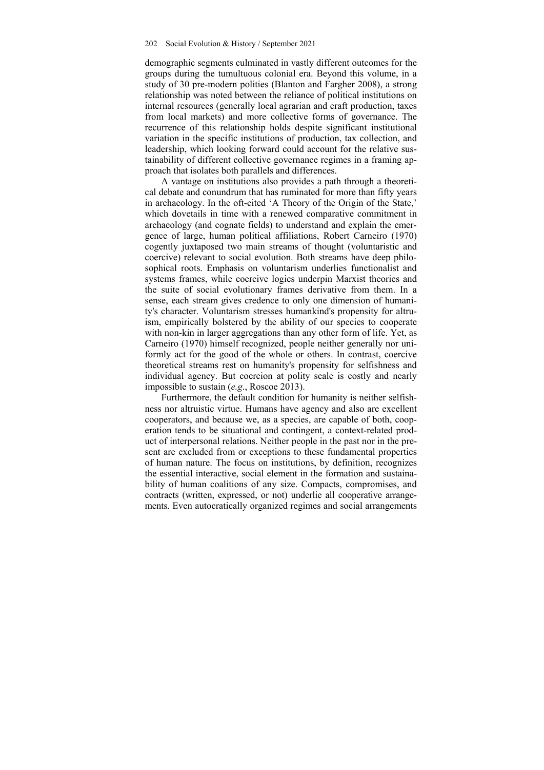demographic segments culminated in vastly different outcomes for the groups during the tumultuous colonial era. Beyond this volume, in a study of 30 pre-modern polities (Blanton and Fargher 2008), a strong relationship was noted between the reliance of political institutions on internal resources (generally local agrarian and craft production, taxes from local markets) and more collective forms of governance. The recurrence of this relationship holds despite significant institutional variation in the specific institutions of production, tax collection, and leadership, which looking forward could account for the relative sustainability of different collective governance regimes in a framing approach that isolates both parallels and differences.

A vantage on institutions also provides a path through a theoretical debate and conundrum that has ruminated for more than fifty years in archaeology. In the oft-cited 'A Theory of the Origin of the State,' which dovetails in time with a renewed comparative commitment in archaeology (and cognate fields) to understand and explain the emergence of large, human political affiliations, Robert Carneiro (1970) cogently juxtaposed two main streams of thought (voluntaristic and coercive) relevant to social evolution. Both streams have deep philosophical roots. Emphasis on voluntarism underlies functionalist and systems frames, while coercive logics underpin Marxist theories and the suite of social evolutionary frames derivative from them. In a sense, each stream gives credence to only one dimension of humanity's character. Voluntarism stresses humankind's propensity for altruism, empirically bolstered by the ability of our species to cooperate with non-kin in larger aggregations than any other form of life. Yet, as Carneiro (1970) himself recognized, people neither generally nor uniformly act for the good of the whole or others. In contrast, coercive theoretical streams rest on humanity's propensity for selfishness and individual agency. But coercion at polity scale is costly and nearly impossible to sustain (*e.g*., Roscoe 2013).

Furthermore, the default condition for humanity is neither selfishness nor altruistic virtue. Humans have agency and also are excellent cooperators, and because we, as a species, are capable of both, cooperation tends to be situational and contingent, a context-related product of interpersonal relations. Neither people in the past nor in the present are excluded from or exceptions to these fundamental properties of human nature. The focus on institutions, by definition, recognizes the essential interactive, social element in the formation and sustainability of human coalitions of any size. Compacts, compromises, and contracts (written, expressed, or not) underlie all cooperative arrangements. Even autocratically organized regimes and social arrangements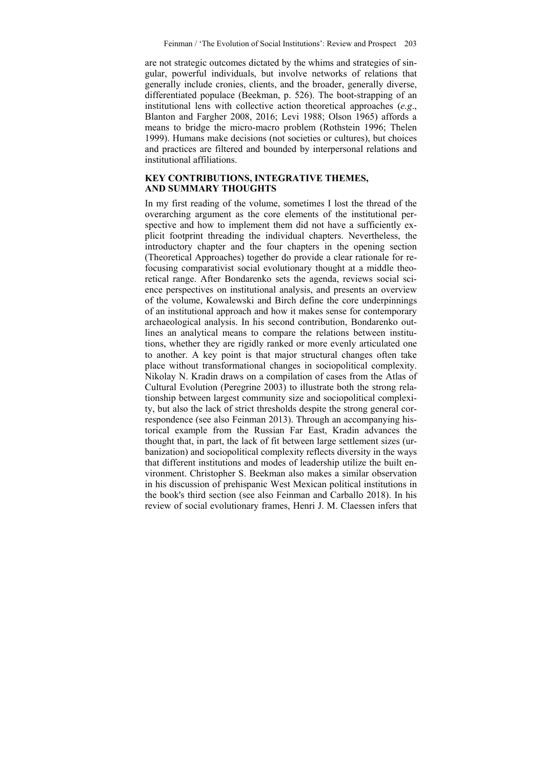are not strategic outcomes dictated by the whims and strategies of singular, powerful individuals, but involve networks of relations that generally include cronies, clients, and the broader, generally diverse, differentiated populace (Beekman, p. 526). The boot-strapping of an institutional lens with collective action theoretical approaches (*e.g*., Blanton and Fargher 2008, 2016; Levi 1988; Olson 1965) affords a means to bridge the micro-macro problem (Rothstein 1996; Thelen 1999). Humans make decisions (not societies or cultures), but choices and practices are filtered and bounded by interpersonal relations and institutional affiliations.

#### **KEY CONTRIBUTIONS, INTEGRATIVE THEMES, AND SUMMARY THOUGHTS**

In my first reading of the volume, sometimes I lost the thread of the overarching argument as the core elements of the institutional perspective and how to implement them did not have a sufficiently explicit footprint threading the individual chapters. Nevertheless, the introductory chapter and the four chapters in the opening section (Theoretical Approaches) together do provide a clear rationale for refocusing comparativist social evolutionary thought at a middle theoretical range. After Bondarenko sets the agenda, reviews social science perspectives on institutional analysis, and presents an overview of the volume, Kowalewski and Birch define the core underpinnings of an institutional approach and how it makes sense for contemporary archaeological analysis. In his second contribution, Bondarenko outlines an analytical means to compare the relations between institutions, whether they are rigidly ranked or more evenly articulated one to another. A key point is that major structural changes often take place without transformational changes in sociopolitical complexity. Nikolay N. Kradin draws on a compilation of cases from the Atlas of Cultural Evolution (Peregrine 2003) to illustrate both the strong relationship between largest community size and sociopolitical complexity, but also the lack of strict thresholds despite the strong general correspondence (see also Feinman 2013). Through an accompanying historical example from the Russian Far East, Kradin advances the thought that, in part, the lack of fit between large settlement sizes (urbanization) and sociopolitical complexity reflects diversity in the ways that different institutions and modes of leadership utilize the built environment. Christopher S. Beekman also makes a similar observation in his discussion of prehispanic West Mexican political institutions in the book's third section (see also Feinman and Carballo 2018). In his review of social evolutionary frames, Henri J. M. Claessen infers that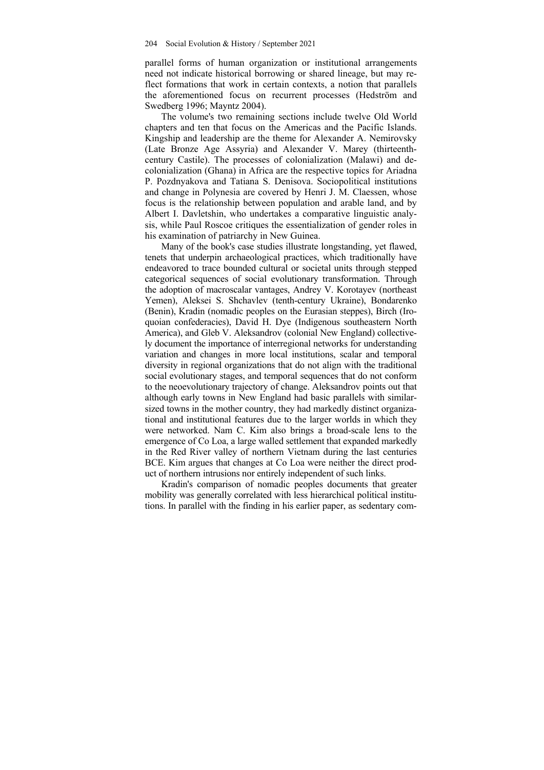parallel forms of human organization or institutional arrangements need not indicate historical borrowing or shared lineage, but may reflect formations that work in certain contexts, a notion that parallels the aforementioned focus on recurrent processes (Hedström and Swedberg 1996; Mayntz 2004).

The volume's two remaining sections include twelve Old World chapters and ten that focus on the Americas and the Pacific Islands. Kingship and leadership are the theme for Alexander A. Nemirovsky (Late Bronze Age Assyria) and Alexander V. Marey (thirteenthcentury Castile). The processes of colonialization (Malawi) and decolonialization (Ghana) in Africa are the respective topics for Ariadna P. Pozdnyakova and Tatiana S. Denisova. Sociopolitical institutions and change in Polynesia are covered by Henri J. M. Claessen, whose focus is the relationship between population and arable land, and by Albert I. Davletshin, who undertakes a comparative linguistic analysis, while Paul Roscoe critiques the essentialization of gender roles in his examination of patriarchy in New Guinea.

Many of the book's case studies illustrate longstanding, yet flawed, tenets that underpin archaeological practices, which traditionally have endeavored to trace bounded cultural or societal units through stepped categorical sequences of social evolutionary transformation. Through the adoption of macroscalar vantages, Andrey V. Korotayev (northeast Yemen), Aleksei S. Shchavlev (tenth-century Ukraine), Bondarenko (Benin), Kradin (nomadic peoples on the Eurasian steppes), Birch (Iroquoian confederacies), David H. Dye (Indigenous southeastern North America), and Gleb V. Aleksandrov (colonial New England) collectively document the importance of interregional networks for understanding variation and changes in more local institutions, scalar and temporal diversity in regional organizations that do not align with the traditional social evolutionary stages, and temporal sequences that do not conform to the neoevolutionary trajectory of change. Aleksandrov points out that although early towns in New England had basic parallels with similarsized towns in the mother country, they had markedly distinct organizational and institutional features due to the larger worlds in which they were networked. Nam C. Kim also brings a broad-scale lens to the emergence of Co Loa, a large walled settlement that expanded markedly in the Red River valley of northern Vietnam during the last centuries BCE. Kim argues that changes at Co Loa were neither the direct product of northern intrusions nor entirely independent of such links.

Kradin's comparison of nomadic peoples documents that greater mobility was generally correlated with less hierarchical political institutions. In parallel with the finding in his earlier paper, as sedentary com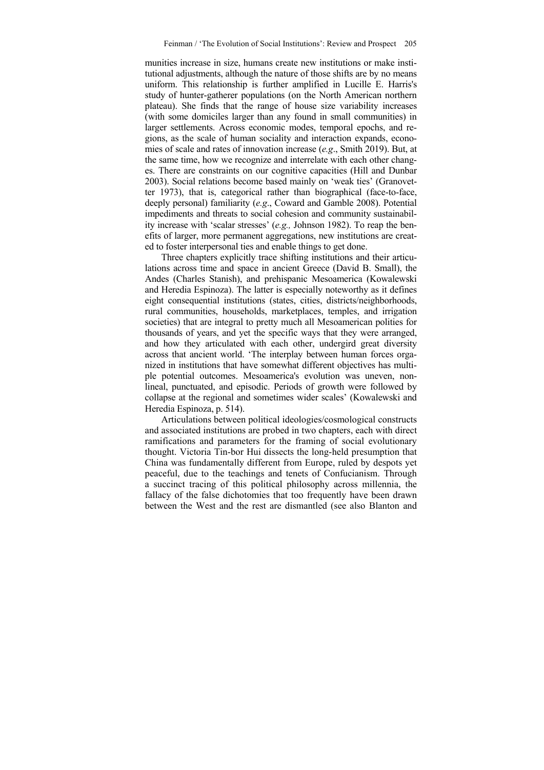munities increase in size, humans create new institutions or make institutional adjustments, although the nature of those shifts are by no means uniform. This relationship is further amplified in Lucille E. Harris's study of hunter-gatherer populations (on the North American northern plateau). She finds that the range of house size variability increases (with some domiciles larger than any found in small communities) in larger settlements. Across economic modes, temporal epochs, and regions, as the scale of human sociality and interaction expands, economies of scale and rates of innovation increase (*e.g*., Smith 2019). But, at the same time, how we recognize and interrelate with each other changes. There are constraints on our cognitive capacities (Hill and Dunbar 2003). Social relations become based mainly on 'weak ties' (Granovetter 1973), that is, categorical rather than biographical (face-to-face, deeply personal) familiarity (*e.g*., Coward and Gamble 2008). Potential impediments and threats to social cohesion and community sustainability increase with 'scalar stresses' (*e.g.,* Johnson 1982). To reap the benefits of larger, more permanent aggregations, new institutions are created to foster interpersonal ties and enable things to get done.

Three chapters explicitly trace shifting institutions and their articulations across time and space in ancient Greece (David B. Small), the Andes (Charles Stanish), and prehispanic Mesoamerica (Kowalewski and Heredia Espinoza). The latter is especially noteworthy as it defines eight consequential institutions (states, cities, districts/neighborhoods, rural communities, households, marketplaces, temples, and irrigation societies) that are integral to pretty much all Mesoamerican polities for thousands of years, and yet the specific ways that they were arranged, and how they articulated with each other, undergird great diversity across that ancient world. 'The interplay between human forces organized in institutions that have somewhat different objectives has multiple potential outcomes. Mesoamerica's evolution was uneven, nonlineal, punctuated, and episodic. Periods of growth were followed by collapse at the regional and sometimes wider scales' (Kowalewski and Heredia Espinoza, p. 514).

Articulations between political ideologies/cosmological constructs and associated institutions are probed in two chapters, each with direct ramifications and parameters for the framing of social evolutionary thought. Victoria Tin-bor Hui dissects the long-held presumption that China was fundamentally different from Europe, ruled by despots yet peaceful, due to the teachings and tenets of Confucianism. Through a succinct tracing of this political philosophy across millennia, the fallacy of the false dichotomies that too frequently have been drawn between the West and the rest are dismantled (see also Blanton and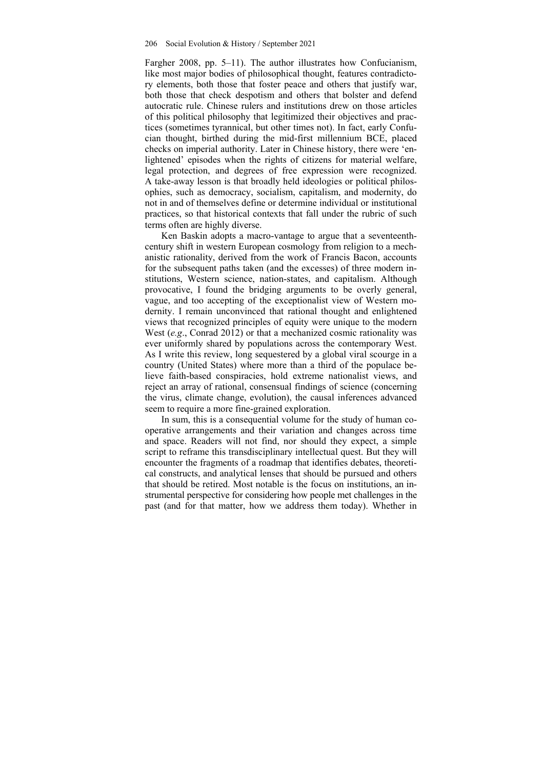Fargher 2008, pp. 5–11). The author illustrates how Confucianism, like most major bodies of philosophical thought, features contradictory elements, both those that foster peace and others that justify war, both those that check despotism and others that bolster and defend autocratic rule. Chinese rulers and institutions drew on those articles of this political philosophy that legitimized their objectives and practices (sometimes tyrannical, but other times not). In fact, early Confucian thought, birthed during the mid-first millennium BCE, placed checks on imperial authority. Later in Chinese history, there were 'enlightened' episodes when the rights of citizens for material welfare, legal protection, and degrees of free expression were recognized. A take-away lesson is that broadly held ideologies or political philosophies, such as democracy, socialism, capitalism, and modernity, do not in and of themselves define or determine individual or institutional practices, so that historical contexts that fall under the rubric of such terms often are highly diverse.

Ken Baskin adopts a macro-vantage to argue that a seventeenthcentury shift in western European cosmology from religion to a mechanistic rationality, derived from the work of Francis Bacon, accounts for the subsequent paths taken (and the excesses) of three modern institutions, Western science, nation-states, and capitalism. Although provocative, I found the bridging arguments to be overly general, vague, and too accepting of the exceptionalist view of Western modernity. I remain unconvinced that rational thought and enlightened views that recognized principles of equity were unique to the modern West (*e.g*., Conrad 2012) or that a mechanized cosmic rationality was ever uniformly shared by populations across the contemporary West. As I write this review, long sequestered by a global viral scourge in a country (United States) where more than a third of the populace believe faith-based conspiracies, hold extreme nationalist views, and reject an array of rational, consensual findings of science (concerning the virus, climate change, evolution), the causal inferences advanced seem to require a more fine-grained exploration.

In sum, this is a consequential volume for the study of human cooperative arrangements and their variation and changes across time and space. Readers will not find, nor should they expect, a simple script to reframe this transdisciplinary intellectual quest. But they will encounter the fragments of a roadmap that identifies debates, theoretical constructs, and analytical lenses that should be pursued and others that should be retired. Most notable is the focus on institutions, an instrumental perspective for considering how people met challenges in the past (and for that matter, how we address them today). Whether in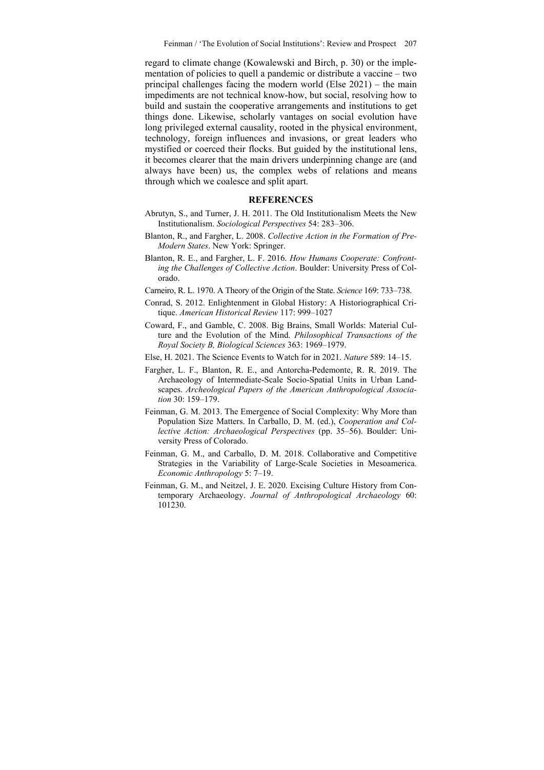regard to climate change (Kowalewski and Birch, p. 30) or the implementation of policies to quell a pandemic or distribute a vaccine – two principal challenges facing the modern world (Else 2021) – the main impediments are not technical know-how, but social, resolving how to build and sustain the cooperative arrangements and institutions to get things done. Likewise, scholarly vantages on social evolution have long privileged external causality, rooted in the physical environment, technology, foreign influences and invasions, or great leaders who mystified or coerced their flocks. But guided by the institutional lens, it becomes clearer that the main drivers underpinning change are (and always have been) us, the complex webs of relations and means through which we coalesce and split apart.

#### **REFERENCES**

- Abrutyn, S., and Turner, J. H. 2011. The Old Institutionalism Meets the New Institutionalism. *Sociological Perspectives* 54: 283–306.
- Blanton, R., and Fargher, L. 2008. *Collective Action in the Formation of Pre-Modern States*. New York: Springer.
- Blanton, R. E., and Fargher, L. F. 2016. *How Humans Cooperate: Confronting the Challenges of Collective Action*. Boulder: University Press of Colorado.
- Carneiro, R. L. 1970. A Theory of the Origin of the State. *Science* 169: 733–738.
- Conrad, S. 2012. Enlightenment in Global History: A Historiographical Critique. *American Historical Review* 117: 999–1027
- Coward, F., and Gamble, C. 2008. Big Brains, Small Worlds: Material Culture and the Evolution of the Mind. *Philosophical Transactions of the Royal Society B, Biological Sciences* 363: 1969–1979.
- Else, H. 2021. The Science Events to Watch for in 2021. *Nature* 589: 14–15.
- Fargher, L. F., Blanton, R. E., and Antorcha-Pedemonte, R. R. 2019. The Archaeology of Intermediate-Scale Socio-Spatial Units in Urban Landscapes. *Archeological Papers of the American Anthropological Association* 30: 159–179.
- Feinman, G. M. 2013. The Emergence of Social Complexity: Why More than Population Size Matters. In Carballo, D. M. (ed.), *Cooperation and Collective Action: Archaeological Perspectives* (pp. 35–56). Boulder: University Press of Colorado.
- Feinman, G. M., and Carballo, D. M. 2018. Collaborative and Competitive Strategies in the Variability of Large-Scale Societies in Mesoamerica. *Economic Anthropology* 5: 7–19.
- Feinman, G. M., and Neitzel, J. E. 2020. Excising Culture History from Contemporary Archaeology. *Journal of Anthropological Archaeology* 60: 101230.